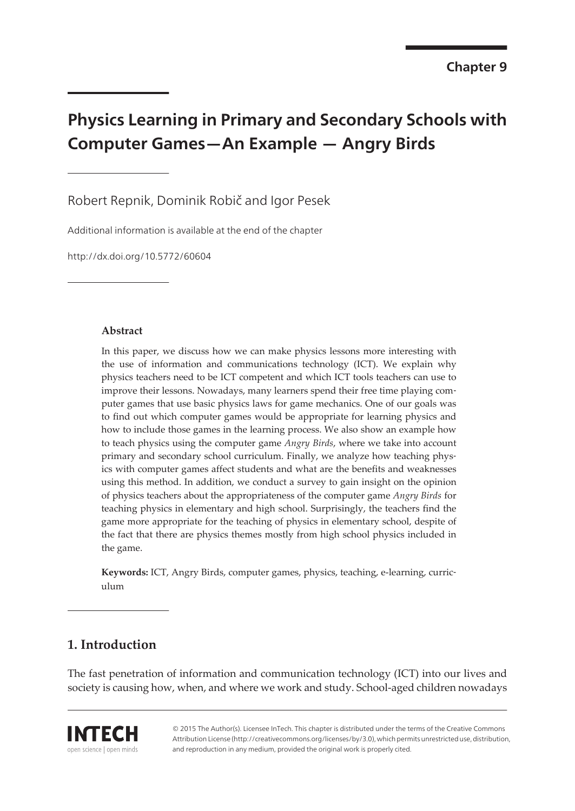# **Physics Learning in Primary and Secondary Schools with Computer Games—An Example — Angry Birds**

Robert Repnik, Dominik Robič and Igor Pesek

[Additional information is available at the end of the chapter](#page-20-0)

http://dx.doi.org/10.5772/60604

#### **Abstract**

In this paper, we discuss how we can make physics lessons more interesting with the use of information and communications technology (ICT). We explain why physics teachers need to be ICT competent and which ICT tools teachers can use to improve their lessons. Nowadays, many learners spend their free time playing computer games that use basic physics laws for game mechanics. One of our goals was to find out which computer games would be appropriate for learning physics and how to include those games in the learning process. We also show an example how to teach physics using the computer game *Angry Birds*, where we take into account primary and secondary school curriculum. Finally, we analyze how teaching phys‐ ics with computer games affect students and what are the benefits and weaknesses using this method. In addition, we conduct a survey to gain insight on the opinion of physics teachers about the appropriateness of the computer game *Angry Birds* for teaching physics in elementary and high school. Surprisingly, the teachers find the game more appropriate for the teaching of physics in elementary school, despite of the fact that there are physics themes mostly from high school physics included in the game.

**Keywords:** ICT, Angry Birds, computer games, physics, teaching, e-learning, curric‐ ulum

# **1. Introduction**

The fast penetration of information and communication technology (ICT) into our lives and society is causing how, when, and where we work and study. School-aged children nowadays



© 2015 The Author(s). Licensee InTech. This chapter is distributed under the terms of the Creative Commons Attribution License (http://creativecommons.org/licenses/by/3.0), which permits unrestricted use, distribution, and reproduction in any medium, provided the original work is properly cited.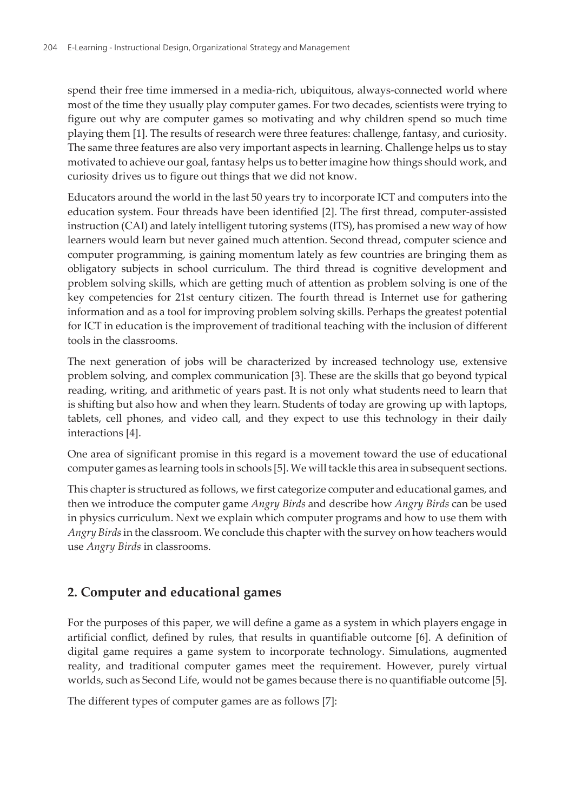spend their free time immersed in a media-rich, ubiquitous, always-connected world where most of the time they usually play computer games. For two decades, scientists were trying to figure out why are computer games so motivating and why children spend so much time playing them [\[1\]](#page-21-0). The results of research were three features: challenge, fantasy, and curiosity. The same three features are also very important aspects in learning. Challenge helps us to stay motivated to achieve our goal, fantasy helps us to better imagine how things should work, and curiosity drives us to figure out things that we did not know.

Educators around the world in the last 50 years try to incorporate ICT and computers into the education system. Four threads have been identified [[2](#page-21-0)]. The first thread, computer-assisted instruction (CAI) and lately intelligent tutoring systems (ITS), has promised a new way of how learners would learn but never gained much attention. Second thread, computer science and computer programming, is gaining momentum lately as few countries are bringing them as obligatory subjects in school curriculum. The third thread is cognitive development and problem solving skills, which are getting much of attention as problem solving is one of the key competencies for 21st century citizen. The fourth thread is Internet use for gathering information and as a tool for improving problem solving skills. Perhaps the greatest potential for ICT in education is the improvement of traditional teaching with the inclusion of different tools in the classrooms.

The next generation of jobs will be characterized by increased technology use, extensive problem solving, and complex communication [\[3\]](#page-21-0). These are the skills that go beyond typical reading, writing, and arithmetic of years past. It is not only what students need to learn that is shifting but also how and when they learn. Students of today are growing up with laptops, tablets, cell phones, and video call, and they expect to use this technology in their daily interactions [[4](#page-21-0)].

One area of significant promise in this regard is a movement toward the use of educational computer games as learning tools in schools [\[5\]](#page-21-0). We will tackle this area in subsequent sections.

This chapter is structured as follows, we first categorize computer and educational games, and then we introduce the computer game *Angry Birds* and describe how *Angry Birds* can be used in physics curriculum. Next we explain which computer programs and how to use them with *Angry Birds* in the classroom. We conclude this chapter with the survey on how teachers would use *Angry Birds* in classrooms.

# **2. Computer and educational games**

For the purposes of this paper, we will define a game as a system in which players engage in artificial conflict, defined by rules, that results in quantifiable outcome [[6](#page-21-0)]. A definition of digital game requires a game system to incorporate technology. Simulations, augmented reality, and traditional computer games meet the requirement. However, purely virtual worlds, such as Second Life, would not be games because there is no quantifiable outcome [\[5\]](#page-21-0).

The different types of computer games are as follows [[7](#page-21-0)]: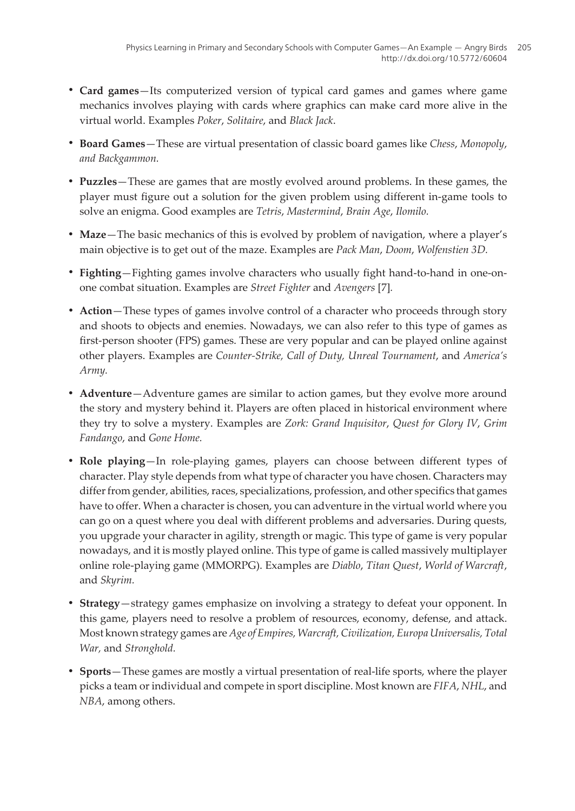- **• Card games**—Its computerized version of typical card games and games where game mechanics involves playing with cards where graphics can make card more alive in the virtual world. Examples *Poker*, *Solitaire*, and *Black Jack*.
- **• Board Games**—These are virtual presentation of classic board games like *Chess*, *Monopoly*, *and Backgammon.*
- **• Puzzles**—These are games that are mostly evolved around problems. In these games, the player must figure out a solution for the given problem using different in-game tools to solve an enigma. Good examples are *Tetris*, *Mastermind*, *Brain Age*, *Ilomilo.*
- **• Maze**—The basic mechanics of this is evolved by problem of navigation, where a player's main objective is to get out of the maze. Examples are *Pack Man*, *Doom*, *Wolfenstien 3D.*
- **• Fighting**—Fighting games involve characters who usually fight hand-to-hand in one-onone combat situation. Examples are *Street Fighter* and *Avengers* [[7](#page-21-0)]*.*
- **• Action**—These types of games involve control of a character who proceeds through story and shoots to objects and enemies. Nowadays, we can also refer to this type of games as first-person shooter (FPS) games. These are very popular and can be played online against other players. Examples are *Counter-Strike, Call of Duty, Unreal Tournament*, and *America's Army.*
- **• Adventure**—Adventure games are similar to action games, but they evolve more around the story and mystery behind it. Players are often placed in historical environment where they try to solve a mystery. Examples are *Zork: Grand Inquisitor*, *Quest for Glory IV*, *Grim Fandango*, and *Gone Home.*
- **• Role playing**—In role-playing games, players can choose between different types of character. Play style depends from what type of character you have chosen. Characters may differ from gender, abilities, races, specializations, profession, and other specifics that games have to offer. When a character is chosen, you can adventure in the virtual world where you can go on a quest where you deal with different problems and adversaries. During quests, you upgrade your character in agility, strength or magic. This type of game is very popular nowadays, and it is mostly played online. This type of game is called massively multiplayer online role-playing game (MMORPG). Examples are *Diablo*, *Titan Quest*, *World of Warcraft*, and *Skyrim.*
- **• Strategy**—strategy games emphasize on involving a strategy to defeat your opponent. In this game, players need to resolve a problem of resources, economy, defense, and attack. Most known strategy games are *Age of Empires, Warcraft, Civilization, Europa Universalis, Total War,* and *Stronghold.*
- **• Sports**—These games are mostly a virtual presentation of real-life sports, where the player picks a team or individual and compete in sport discipline. Most known are *FIFA*, *NHL*, and *NBA*, among others.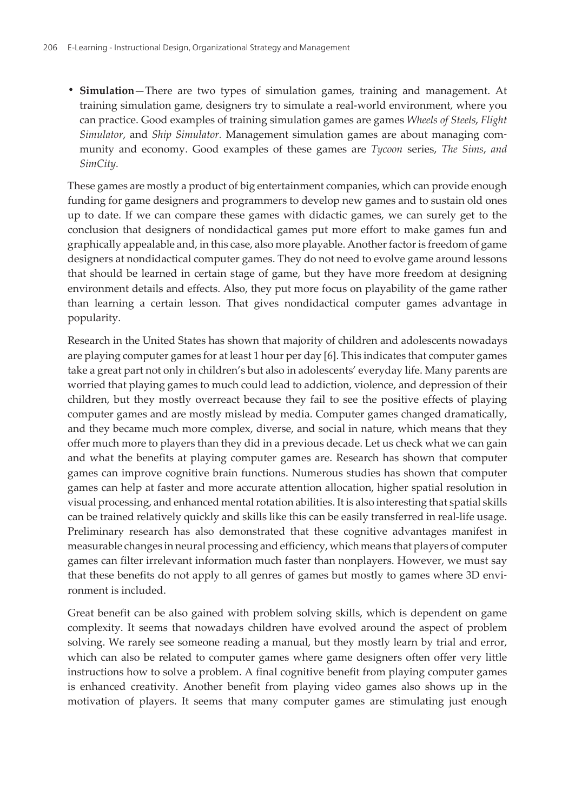**• Simulation**—There are two types of simulation games, training and management. At training simulation game, designers try to simulate a real-world environment, where you can practice. Good examples of training simulation games are games *Wheels of Steels*, *Flight Simulator*, and *Ship Simulator*. Management simulation games are about managing community and economy. Good examples of these games are *Tycoon* series, *The Sims*, *and SimCity.*

These games are mostly a product of big entertainment companies, which can provide enough funding for game designers and programmers to develop new games and to sustain old ones up to date. If we can compare these games with didactic games, we can surely get to the conclusion that designers of nondidactical games put more effort to make games fun and graphically appealable and, in this case, also more playable. Another factor is freedom of game designers at nondidactical computer games. They do not need to evolve game around lessons that should be learned in certain stage of game, but they have more freedom at designing environment details and effects. Also, they put more focus on playability of the game rather than learning a certain lesson. That gives nondidactical computer games advantage in popularity.

Research in the United States has shown that majority of children and adolescents nowadays are playing computer games for at least 1 hour per day [\[6\]](#page-21-0). This indicates that computer games take a great part not only in children's but also in adolescents' everyday life. Many parents are worried that playing games to much could lead to addiction, violence, and depression of their children, but they mostly overreact because they fail to see the positive effects of playing computer games and are mostly mislead by media. Computer games changed dramatically, and they became much more complex, diverse, and social in nature, which means that they offer much more to players than they did in a previous decade. Let us check what we can gain and what the benefits at playing computer games are. Research has shown that computer games can improve cognitive brain functions. Numerous studies has shown that computer games can help at faster and more accurate attention allocation, higher spatial resolution in visual processing, and enhanced mental rotation abilities. It is also interesting that spatial skills can be trained relatively quickly and skills like this can be easily transferred in real-life usage. Preliminary research has also demonstrated that these cognitive advantages manifest in measurable changes in neural processing and efficiency, which means that players of computer games can filter irrelevant information much faster than nonplayers. However, we must say that these benefits do not apply to all genres of games but mostly to games where 3D envi‐ ronment is included.

Great benefit can be also gained with problem solving skills, which is dependent on game complexity. It seems that nowadays children have evolved around the aspect of problem solving. We rarely see someone reading a manual, but they mostly learn by trial and error, which can also be related to computer games where game designers often offer very little instructions how to solve a problem. A final cognitive benefit from playing computer games is enhanced creativity. Another benefit from playing video games also shows up in the motivation of players. It seems that many computer games are stimulating just enough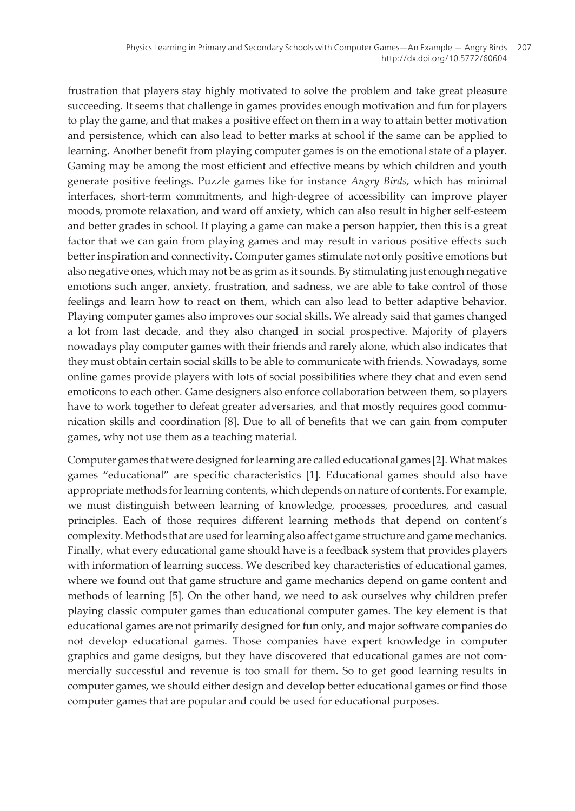frustration that players stay highly motivated to solve the problem and take great pleasure succeeding. It seems that challenge in games provides enough motivation and fun for players to play the game, and that makes a positive effect on them in a way to attain better motivation and persistence, which can also lead to better marks at school if the same can be applied to learning. Another benefit from playing computer games is on the emotional state of a player. Gaming may be among the most efficient and effective means by which children and youth generate positive feelings. Puzzle games like for instance *Angry Birds*, which has minimal interfaces, short-term commitments, and high-degree of accessibility can improve player moods, promote relaxation, and ward off anxiety, which can also result in higher self-esteem and better grades in school. If playing a game can make a person happier, then this is a great factor that we can gain from playing games and may result in various positive effects such better inspiration and connectivity. Computer games stimulate not only positive emotions but also negative ones, which may not be as grim as it sounds. By stimulating just enough negative emotions such anger, anxiety, frustration, and sadness, we are able to take control of those feelings and learn how to react on them, which can also lead to better adaptive behavior. Playing computer games also improves our social skills. We already said that games changed a lot from last decade, and they also changed in social prospective. Majority of players nowadays play computer games with their friends and rarely alone, which also indicates that they must obtain certain social skills to be able to communicate with friends. Nowadays, some online games provide players with lots of social possibilities where they chat and even send emoticons to each other. Game designers also enforce collaboration between them, so players have to work together to defeat greater adversaries, and that mostly requires good communication skills and coordination [\[8\]](#page-21-0). Due to all of benefits that we can gain from computer games, why not use them as a teaching material.

Computer games that were designed for learning are called educational games [\[2\]](#page-21-0). What makes games "educational" are specific characteristics [\[1\]](#page-21-0). Educational games should also have appropriate methods for learning contents, which depends on nature of contents. For example, we must distinguish between learning of knowledge, processes, procedures, and casual principles. Each of those requires different learning methods that depend on content's complexity. Methods that are used for learning also affect game structure and game mechanics. Finally, what every educational game should have is a feedback system that provides players with information of learning success. We described key characteristics of educational games, where we found out that game structure and game mechanics depend on game content and methods of learning [[5](#page-21-0)]. On the other hand, we need to ask ourselves why children prefer playing classic computer games than educational computer games. The key element is that educational games are not primarily designed for fun only, and major software companies do not develop educational games. Those companies have expert knowledge in computer graphics and game designs, but they have discovered that educational games are not commercially successful and revenue is too small for them. So to get good learning results in computer games, we should either design and develop better educational games or find those computer games that are popular and could be used for educational purposes.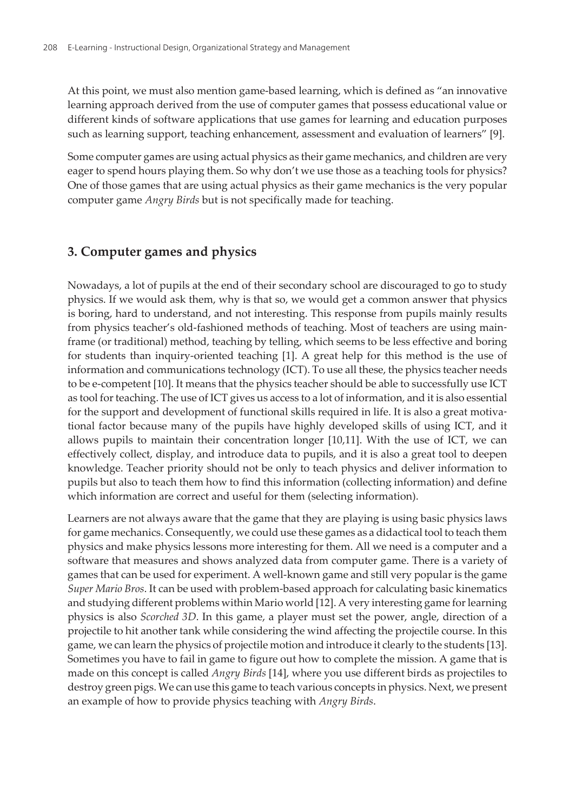At this point, we must also mention game-based learning, which is defined as "an innovative learning approach derived from the use of computer games that possess educational value or different kinds of software applications that use games for learning and education purposes such as learning support, teaching enhancement, assessment and evaluation of learners" [[9](#page-21-0)].

Some computer games are using actual physics as their game mechanics, and children are very eager to spend hours playing them. So why don't we use those as a teaching tools for physics? One of those games that are using actual physics as their game mechanics is the very popular computer game *Angry Birds* but is not specifically made for teaching.

# **3. Computer games and physics**

Nowadays, a lot of pupils at the end of their secondary school are discouraged to go to study physics. If we would ask them, why is that so, we would get a common answer that physics is boring, hard to understand, and not interesting. This response from pupils mainly results from physics teacher's old-fashioned methods of teaching. Most of teachers are using main‐ frame (or traditional) method, teaching by telling, which seems to be less effective and boring for students than inquiry-oriented teaching [[1](#page-21-0)]. A great help for this method is the use of information and communications technology (ICT). To use all these, the physics teacher needs to be e-competent [[10\]](#page-21-0). It means that the physics teacher should be able to successfully use ICT as tool for teaching. The use of ICT gives us access to a lot of information, and it is also essential for the support and development of functional skills required in life. It is also a great motivational factor because many of the pupils have highly developed skills of using ICT, and it allows pupils to maintain their concentration longer [\[10,11](#page-21-0)]. With the use of ICT, we can effectively collect, display, and introduce data to pupils, and it is also a great tool to deepen knowledge. Teacher priority should not be only to teach physics and deliver information to pupils but also to teach them how to find this information (collecting information) and define which information are correct and useful for them (selecting information).

Learners are not always aware that the game that they are playing is using basic physics laws for game mechanics. Consequently, we could use these games as a didactical tool to teach them physics and make physics lessons more interesting for them. All we need is a computer and a software that measures and shows analyzed data from computer game. There is a variety of games that can be used for experiment. A well-known game and still very popular is the game *Super Mario Bros*. It can be used with problem-based approach for calculating basic kinematics and studying different problems within Mario world [[12\]](#page-21-0). A very interesting game for learning physics is also *Scorched 3D*. In this game, a player must set the power, angle, direction of a projectile to hit another tank while considering the wind affecting the projectile course. In this game, we can learn the physics of projectile motion and introduce it clearly to the students [[13\]](#page-21-0). Sometimes you have to fail in game to figure out how to complete the mission. A game that is made on this concept is called *Angry Birds* [\[14](#page-22-0)], where you use different birds as projectiles to destroy green pigs. We can use this game to teach various concepts in physics. Next, we present an example of how to provide physics teaching with *Angry Birds*.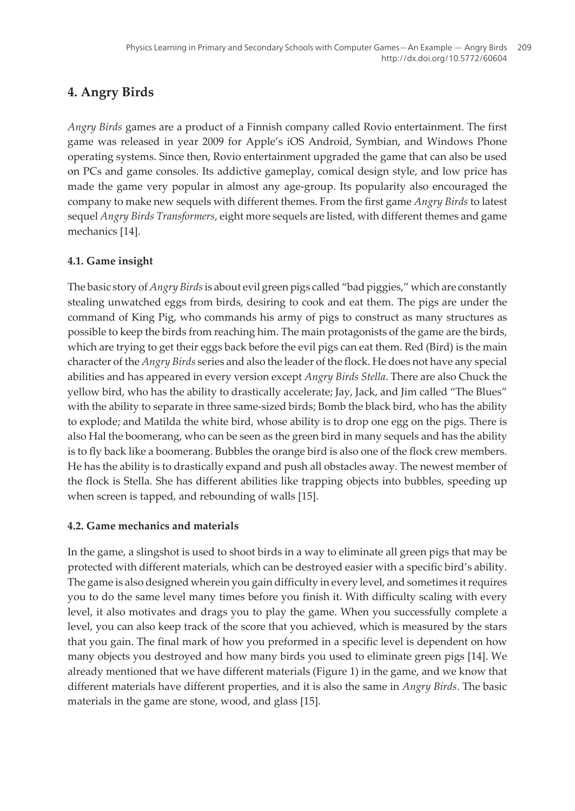# **4. Angry Birds**

*Angry Birds* games are a product of a Finnish company called Rovio entertainment. The first game was released in year 2009 for Apple's iOS Android, Symbian, and Windows Phone operating systems. Since then, Rovio entertainment upgraded the game that can also be used on PCs and game consoles. Its addictive gameplay, comical design style, and low price has made the game very popular in almost any age-group. Its popularity also encouraged the company to make new sequels with different themes. From the first game *Angry Birds* to latest sequel *Angry Birds Transformers*, eight more sequels are listed, with different themes and game mechanics [[14\]](#page-22-0).

# **4.1. Game insight**

The basic story of *Angry Birds* is about evil green pigs called "bad piggies," which are constantly stealing unwatched eggs from birds, desiring to cook and eat them. The pigs are under the command of King Pig, who commands his army of pigs to construct as many structures as possible to keep the birds from reaching him. The main protagonists of the game are the birds, which are trying to get their eggs back before the evil pigs can eat them. Red (Bird) is the main character of the *Angry Birds* series and also the leader of the flock. He does not have any special abilities and has appeared in every version except *Angry Birds Stella*. There are also Chuck the yellow bird, who has the ability to drastically accelerate; Jay, Jack, and Jim called "The Blues" with the ability to separate in three same-sized birds; Bomb the black bird, who has the ability to explode; and Matilda the white bird, whose ability is to drop one egg on the pigs. There is also Hal the boomerang, who can be seen as the green bird in many sequels and has the ability is to fly back like a boomerang. Bubbles the orange bird is also one of the flock crew members. He has the ability is to drastically expand and push all obstacles away. The newest member of the flock is Stella. She has different abilities like trapping objects into bubbles, speeding up when screen is tapped, and rebounding of walls [[15\]](#page-22-0).

## **4.2. Game mechanics and materials**

In the game, a slingshot is used to shoot birds in a way to eliminate all green pigs that may be protected with different materials, which can be destroyed easier with a specific bird's ability. The game is also designed wherein you gain difficulty in every level, and sometimes it requires you to do the same level many times before you finish it. With difficulty scaling with every level, it also motivates and drags you to play the game. When you successfully complete a level, you can also keep track of the score that you achieved, which is measured by the stars that you gain. The final mark of how you preformed in a specific level is dependent on how many objects you destroyed and how many birds you used to eliminate green pigs [\[14](#page-22-0)]. We already mentioned that we have different materials [\(Figure 1\)](#page-7-0) in the game, and we know that different materials have different properties, and it is also the same in *Angry Birds*. The basic materials in the game are stone, wood, and glass [[15\]](#page-22-0).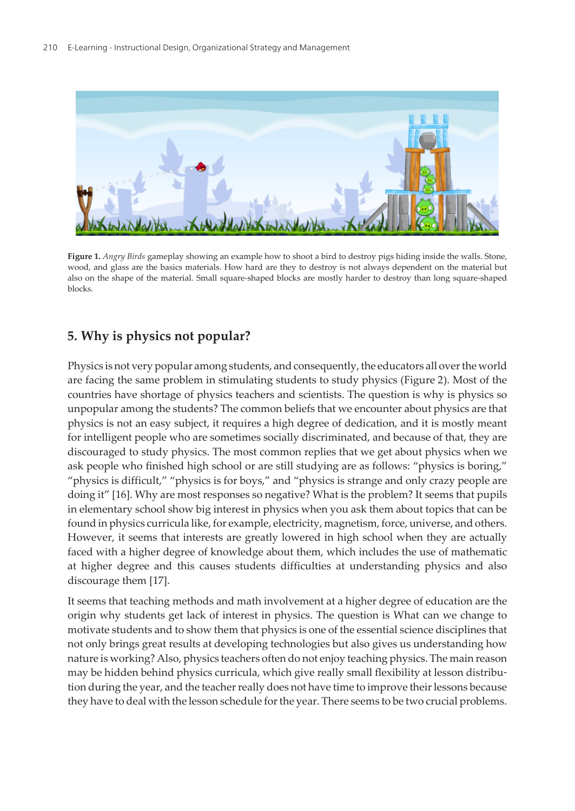<span id="page-7-0"></span>

**Figure 1.** *Angry Birds* gameplay showing an example how to shoot a bird to destroy pigs hiding inside the walls. Stone, wood, and glass are the basics materials. How hard are they to destroy is not always dependent on the material but also on the shape of the material. Small square-shaped blocks are mostly harder to destroy than long square-shaped blocks.

# **5. Why is physics not popular?**

Physics is not very popular among students, and consequently, the educators all over the world are facing the same problem in stimulating students to study physics (Figure 2). Most of the countries have shortage of physics teachers and scientists. The question is why is physics so unpopular among the students? The common beliefs that we encounter about physics are that physics is not an easy subject, it requires a high degree of dedication, and it is mostly meant for intelligent people who are sometimes socially discriminated, and because of that, they are discouraged to study physics. The most common replies that we get about physics when we ask people who finished high school or are still studying are as follows: "physics is boring," "physics is difficult," "physics is for boys," and "physics is strange and only crazy people are doing it" [[16\]](#page-22-0). Why are most responses so negative? What is the problem? It seems that pupils in elementary school show big interest in physics when you ask them about topics that can be found in physics curricula like, for example, electricity, magnetism, force, universe, and others. However, it seems that interests are greatly lowered in high school when they are actually faced with a higher degree of knowledge about them, which includes the use of mathematic at higher degree and this causes students difficulties at understanding physics and also discourage them [\[17](#page-22-0)].

It seems that teaching methods and math involvement at a higher degree of education are the origin why students get lack of interest in physics. The question is What can we change to motivate students and to show them that physics is one of the essential science disciplines that not only brings great results at developing technologies but also gives us understanding how nature is working? Also, physics teachers often do not enjoy teaching physics. The main reason may be hidden behind physics curricula, which give really small flexibility at lesson distribution during the year, and the teacher really does not have time to improve their lessons because they have to deal with the lesson schedule for the year. There seems to be two crucial problems.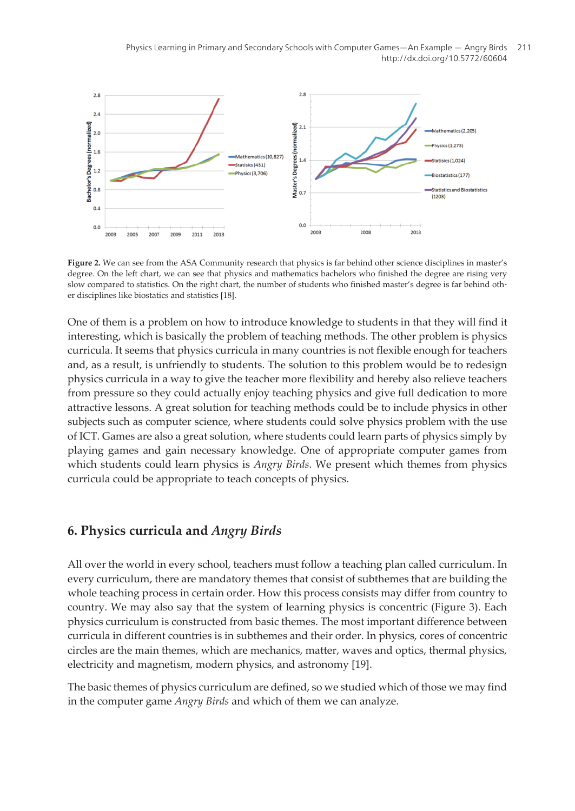

**Figure 2.** We can see from the ASA Community research that physics is far behind other science disciplines in master's degree. On the left chart, we can see that physics and mathematics bachelors who finished the degree are rising very slow compared to statistics. On the right chart, the number of students who finished master's degree is far behind other disciplines like biostatics and statistics [\[18](#page-22-0)].

One of them is a problem on how to introduce knowledge to students in that they will find it interesting, which is basically the problem of teaching methods. The other problem is physics curricula. It seems that physics curricula in many countries is not flexible enough for teachers and, as a result, is unfriendly to students. The solution to this problem would be to redesign physics curricula in a way to give the teacher more flexibility and hereby also relieve teachers from pressure so they could actually enjoy teaching physics and give full dedication to more attractive lessons. A great solution for teaching methods could be to include physics in other subjects such as computer science, where students could solve physics problem with the use of ICT. Games are also a great solution, where students could learn parts of physics simply by playing games and gain necessary knowledge. One of appropriate computer games from which students could learn physics is *Angry Birds*. We present which themes from physics curricula could be appropriate to teach concepts of physics.

# **6. Physics curricula and** *Angry Birds*

All over the world in every school, teachers must follow a teaching plan called curriculum. In every curriculum, there are mandatory themes that consist of subthemes that are building the whole teaching process in certain order. How this process consists may differ from country to country. We may also say that the system of learning physics is concentric (Figure 3). Each physics curriculum is constructed from basic themes. The most important difference between curricula in different countries is in subthemes and their order. In physics, cores of concentric circles are the main themes, which are mechanics, matter, waves and optics, thermal physics, electricity and magnetism, modern physics, and astronomy [[19\]](#page-22-0).

The basic themes of physics curriculum are defined, so we studied which of those we may find in the computer game *Angry Birds* and which of them we can analyze.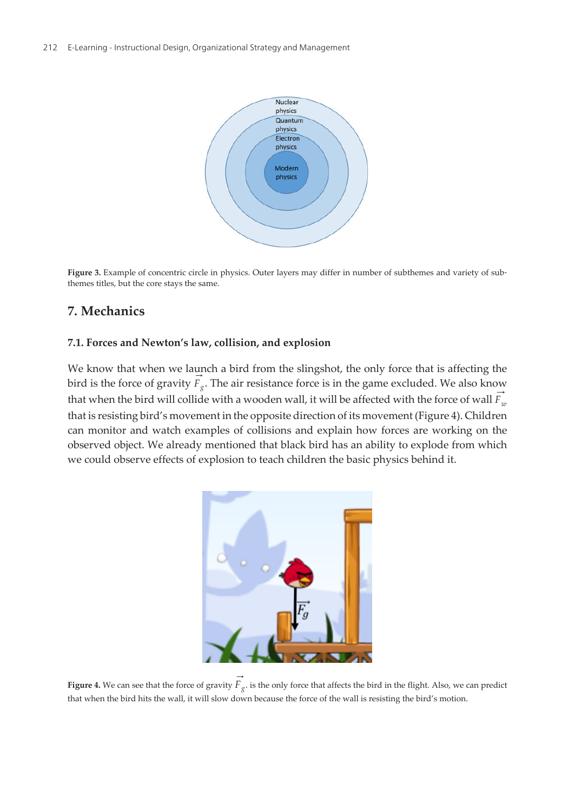

Figure 3. Example of concentric circle in physics. Outer layers may differ in number of subthemes and variety of subthemes titles, but the core stays the same.

# **7. Mechanics**

#### **7.1. Forces and Newton's law, collision, and explosion**

We know that when we launch a bird from the slingshot, the only force that is affecting the bird is the force of gravity  $\overline{F}_g$ . The air resistance force is in the game excluded. We also know bird is the force of gravity  $\vec{F}_o$ . The air resistance force is in the game excluded. We also know that when the bird will collide with a wooden wall, it will be affected with the force of wall  $\vec{F_w}$ that is resisting bird's movement in the opposite direction of its movement (Figure 4). Children can monitor and watch examples of collisions and explain how forces are working on the observed object. We already mentioned that black bird has an ability to explode from which we could observe effects of explosion to teach children the basic physics behind it.



**Figure 4.** We can see that the force of gravity  $\overrightarrow{F}_{g}$  is the only force that affects the bird in the flight. Also, we can predict Figure 4. We can see that the force of gravity  $\vec{F}_g$  is the only force that affects the bird in the flight. Also, we can predict that when the bird hits the wall, it will slow down because the force of the wall is resisting the bird's motion.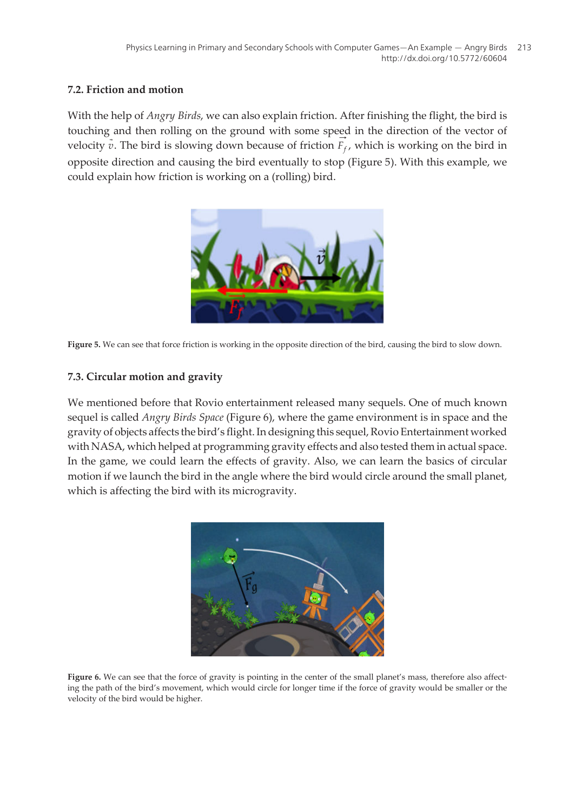### **7.2. Friction and motion**

With the help of *Angry Birds*, we can also explain friction. After finishing the flight, the bird is touching and then rolling on the ground with some speed in the direction of the vector of velocity  $\vec{v}$ . The bird is slowing down because of friction  $\vec{F}_f$ , which is working on the bird in velocity  $\vec{v}$ . The bird is slowing down because of friction  $F_f$ , which is working on the bird in opposite direction and causing the bird eventually to stop (Figure 5). With this example, we could explain how friction is working on a (rolling) bird.



**Figure 5.** We can see that force friction is working in the opposite direction of the bird, causing the bird to slow down.

## **7.3. Circular motion and gravity**

We mentioned before that Rovio entertainment released many sequels. One of much known sequel is called *Angry Birds Space* (Figure 6), where the game environment is in space and the gravity of objects affects the bird's flight. In designing this sequel, Rovio Entertainment worked with NASA, which helped at programming gravity effects and also tested them in actual space. In the game, we could learn the effects of gravity. Also, we can learn the basics of circular motion if we launch the bird in the angle where the bird would circle around the small planet, which is affecting the bird with its microgravity.



Figure 6. We can see that the force of gravity is pointing in the center of the small planet's mass, therefore also affecting the path of the bird's movement, which would circle for longer time if the force of gravity would be smaller or the velocity of the bird would be higher.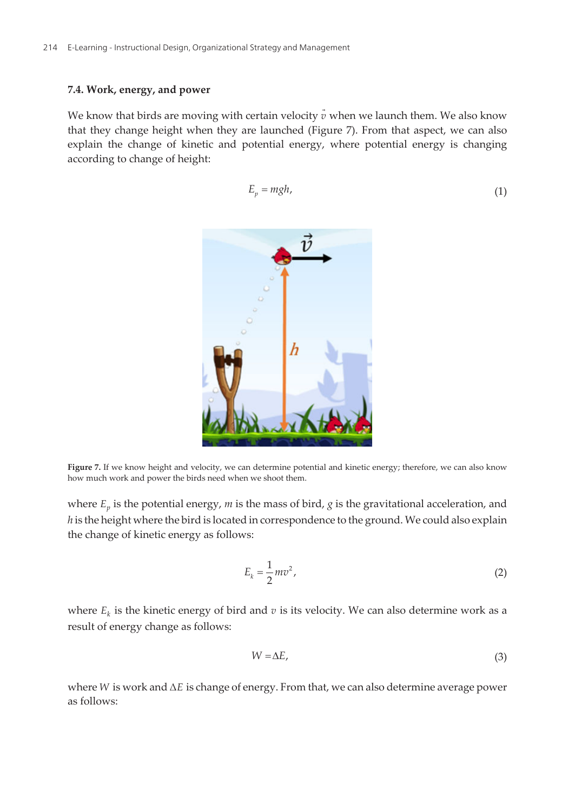#### **7.4. Work, energy, and power**

We know that birds are moving with certain velocity  $\vec{v}$  when we launch them. We also know that they change height when they are launched (Figure 7). From that aspect, we can also explain the change of kinetic and potential energy, where potential energy is changing according to change of height:

$$
E_p = mgh,\tag{1}
$$



Figure 7. If we know height and velocity, we can determine potential and kinetic energy; therefore, we can also know how much work and power the birds need when we shoot them.

where *E<sup>p</sup>* is the potential energy, *m* is the mass of bird, *g* is the gravitational acceleration, and *h* is the height where the bird is located in correspondence to the ground. We could also explain the change of kinetic energy as follows:

$$
E_k = \frac{1}{2}mv^2,\tag{2}
$$

where  $E_k$  is the kinetic energy of bird and  $v$  is its velocity. We can also determine work as a result of energy change as follows:

$$
W = \Delta E,\tag{3}
$$

where *W* is work and Δ*E* is change of energy. From that, we can also determine average power as follows: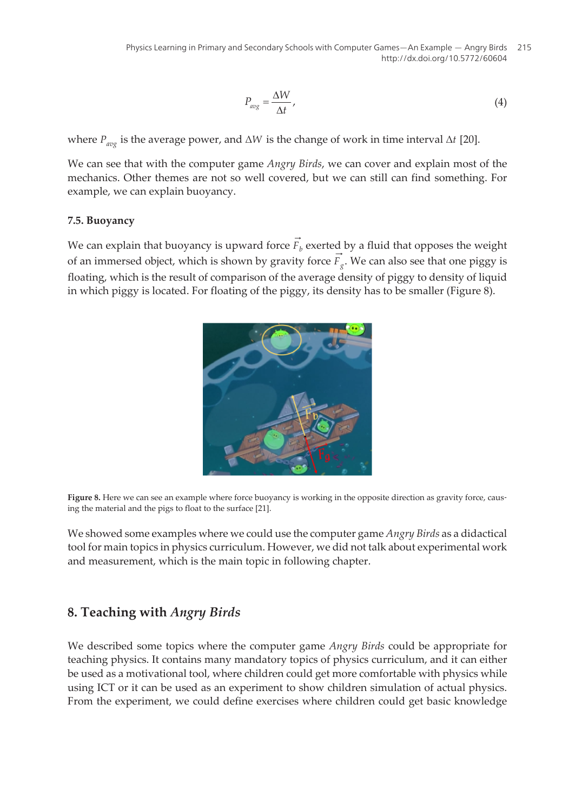Physics Learning in Primary and Secondary Schools with Computer Games—An Example — Angry Birds 215http://dx.doi.org/10.5772/60604

$$
P_{avg} = \frac{\Delta W}{\Delta t},\tag{4}
$$

where *Pavg* is the average power, and Δ*W* is the change of work in time interval Δ*t* [\[20](#page-22-0)].

We can see that with the computer game *Angry Birds*, we can cover and explain most of the mechanics. Other themes are not so well covered, but we can still can find something. For example, we can explain buoyancy.

### **7.5. Buoyancy**

We can explain that buoyancy is upward force  $\vec{F}_b$  exerted by a fluid that opposes the weight We can explain that buoyancy is upward force  $\vec{F}_h$  exerted by a fluid that opposes the weight of an immersed object, which is shown by gravity force  $\vec{F}_g$ . We can also see that one piggy is of an immersed object, which is shown by gravity force  $\vec{F}_g$ . We can also see that one piggy is floating, which is the result of comparison of the average density of piggy to density of liquid in which piggy is located. For floating of the piggy, its density has to be smaller (Figure 8).



Figure 8. Here we can see an example where force buoyancy is working in the opposite direction as gravity force, causing the material and the pigs to float to the surface [\[21](#page-22-0)].

We showed some examples where we could use the computer game *Angry Birds* as a didactical tool for main topics in physics curriculum. However, we did not talk about experimental work and measurement, which is the main topic in following chapter.

# **8. Teaching with** *Angry Birds*

We described some topics where the computer game *Angry Birds* could be appropriate for teaching physics. It contains many mandatory topics of physics curriculum, and it can either be used as a motivational tool, where children could get more comfortable with physics while using ICT or it can be used as an experiment to show children simulation of actual physics. From the experiment, we could define exercises where children could get basic knowledge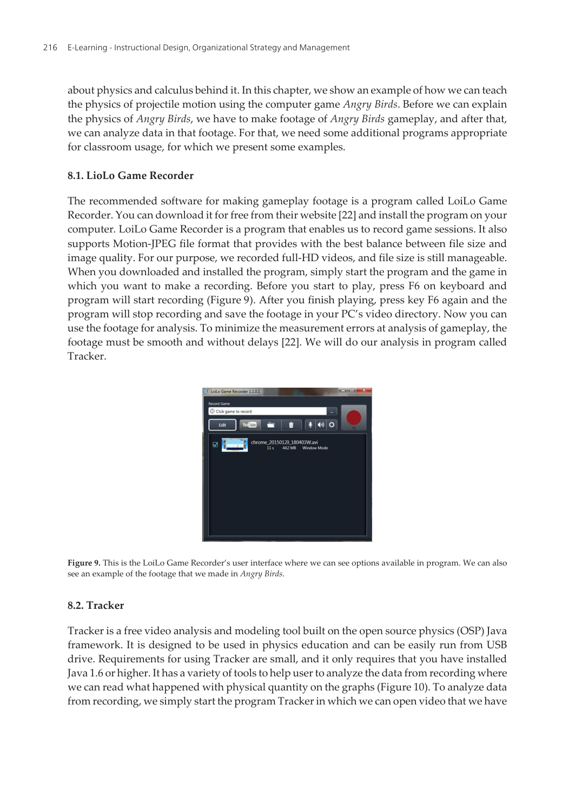about physics and calculus behind it. In this chapter, we show an example of how we can teach the physics of projectile motion using the computer game *Angry Birds*. Before we can explain the physics of *Angry Birds*, we have to make footage of *Angry Birds* gameplay, and after that, we can analyze data in that footage. For that, we need some additional programs appropriate for classroom usage, for which we present some examples.

### **8.1. LioLo Game Recorder**

The recommended software for making gameplay footage is a program called LoiLo Game Recorder. You can download it for free from their website [[22\]](#page-22-0) and install the program on your computer*.* LoiLo Game Recorder is a program that enables us to record game sessions. It also supports Motion-JPEG file format that provides with the best balance between file size and image quality. For our purpose, we recorded full-HD videos, and file size is still manageable. When you downloaded and installed the program, simply start the program and the game in which you want to make a recording. Before you start to play, press F6 on keyboard and program will start recording (Figure 9). After you finish playing, press key F6 again and the program will stop recording and save the footage in your PC's video directory. Now you can use the footage for analysis. To minimize the measurement errors at analysis of gameplay, the footage must be smooth and without delays [\[22](#page-22-0)]. We will do our analysis in program called Tracker.



**Figure 9.** This is the LoiLo Game Recorder's user interface where we can see options available in program. We can also see an example of the footage that we made in *Angry Birds*.

## **8.2. Tracker**

Tracker is a free video analysis and modeling tool built on the open source physics (OSP) Java framework. It is designed to be used in physics education and can be easily run from USB drive. Requirements for using Tracker are small, and it only requires that you have installed Java 1.6 or higher. It has a variety of tools to help user to analyze the data from recording where we can read what happened with physical quantity on the graphs [\(Figure 10\)](#page-14-0). To analyze data from recording, we simply start the program Tracker in which we can open video that we have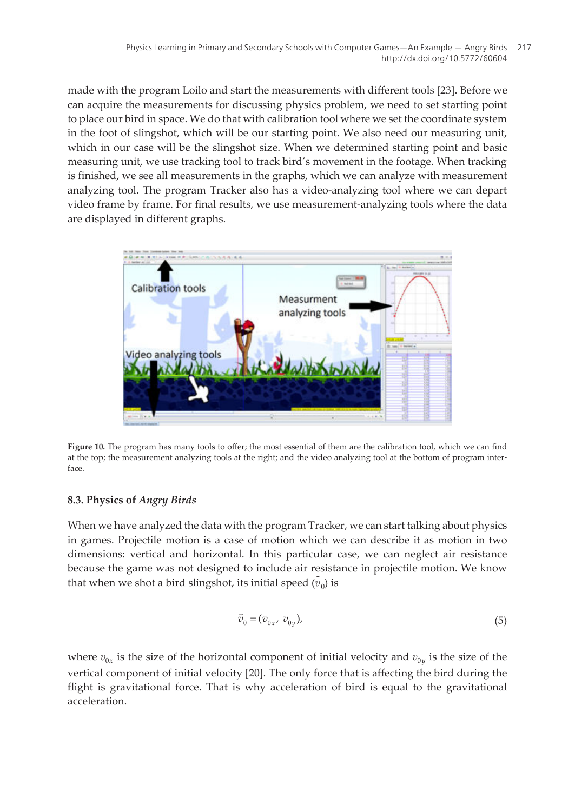<span id="page-14-0"></span>made with the program Loilo and start the measurements with different tools [\[23](#page-22-0)]. Before we can acquire the measurements for discussing physics problem, we need to set starting point to place our bird in space. We do that with calibration tool where we set the coordinate system in the foot of slingshot, which will be our starting point. We also need our measuring unit, which in our case will be the slingshot size. When we determined starting point and basic measuring unit, we use tracking tool to track bird's movement in the footage. When tracking is finished, we see all measurements in the graphs, which we can analyze with measurement analyzing tool. The program Tracker also has a video-analyzing tool where we can depart video frame by frame. For final results, we use measurement-analyzing tools where the data are displayed in different graphs.



**Figure 10.** The program has many tools to offer; the most essential of them are the calibration tool, which we can find at the top; the measurement analyzing tools at the right; and the video analyzing tool at the bottom of program interface.

## **8.3. Physics of** *Angry Birds*

When we have analyzed the data with the program Tracker, we can start talking about physics in games. Projectile motion is a case of motion which we can describe it as motion in two dimensions: vertical and horizontal. In this particular case, we can neglect air resistance because the game was not designed to include air resistance in projectile motion. We know that when we shot a bird slingshot, its initial speed  $(v_0)$  is  $0^{115}$ that when we shot a bird slingshot, its initial speed  $(\vec{v}_0)$  is

$$
\vec{v}_0 = (v_{0x}, v_{0y}), \tag{5}
$$

where  $v_{0x}$  is the size of the horizontal component of initial velocity and  $v_{0y}$  is the size of the vertical component of initial velocity [[20\]](#page-22-0). The only force that is affecting the bird during the flight is gravitational force. That is why acceleration of bird is equal to the gravitational acceleration.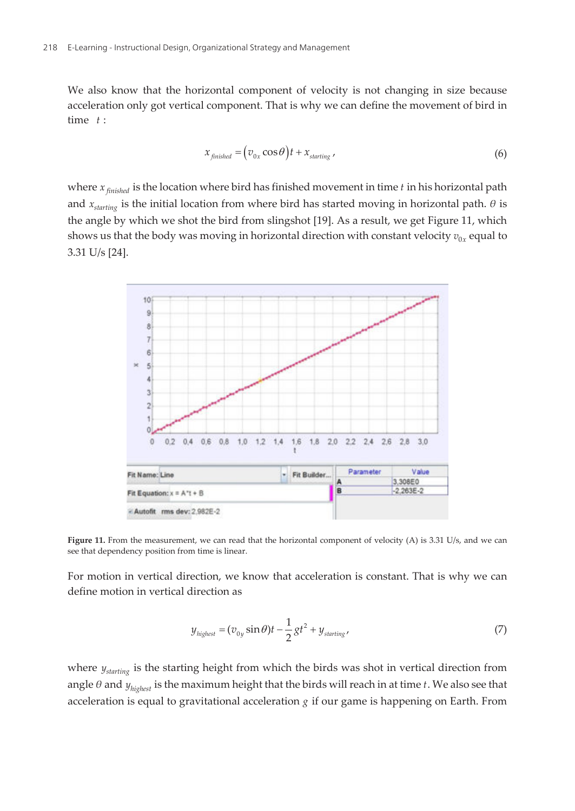We also know that the horizontal component of velocity is not changing in size because acceleration only got vertical component. That is why we can define the movement of bird in time *t* :

$$
x_{\text{finshed}} = (v_{0x} \cos \theta)t + x_{\text{starting}} \tag{6}
$$

where *x finished* is the location where bird has finished movement in time *t* in his horizontal path and *xstarting* is the initial location from where bird has started moving in horizontal path. *θ* is the angle by which we shot the bird from slingshot [[19\]](#page-22-0). As a result, we get Figure 11, which shows us that the body was moving in horizontal direction with constant velocity  $v_{0x}$  equal to 3.31 U/s [[24\]](#page-22-0).



**Figure 11.** From the measurement, we can read that the horizontal component of velocity (A) is 3.31 U/s, and we can see that dependency position from time is linear.

For motion in vertical direction, we know that acceleration is constant. That is why we can define motion in vertical direction as

$$
y_{\text{highest}} = (v_{0y} \sin \theta)t - \frac{1}{2}gt^2 + y_{\text{starting}} \tag{7}
$$

where *ystarting* is the starting height from which the birds was shot in vertical direction from angle  $\theta$  and  $y_{highest}$  is the maximum height that the birds will reach in at time *t*. We also see that acceleration is equal to gravitational acceleration *g* if our game is happening on Earth. From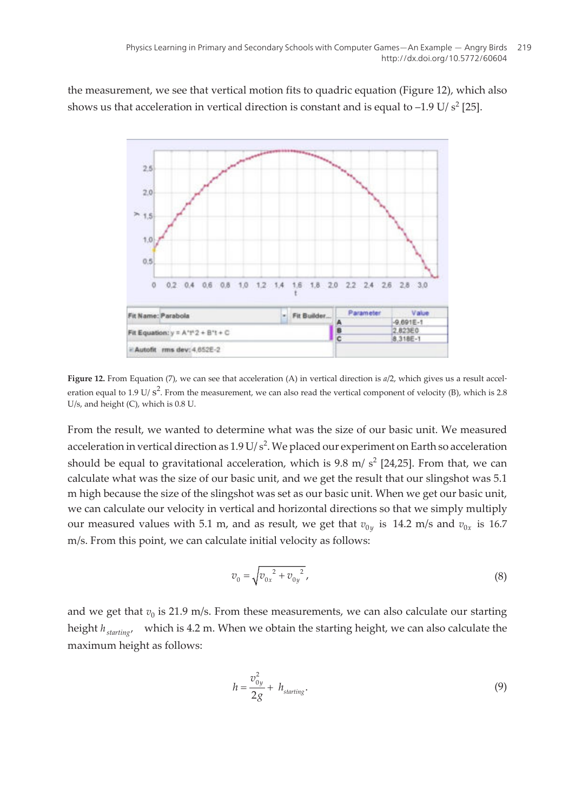the measurement, we see that vertical motion fits to quadric equation (Figure 12), which also shows us that acceleration in vertical direction is constant and is equal to –1.9 U/ s [\[25](#page-22-0)].  $2$  [25]



**Figure 12.** From Equation (7), we can see that acceleration (A) in vertical direction is *a*/2, which gives us a result accel‐ eration equal to 1.9 U/  $s^2$ . From the measurement, we can also read the vertical component of velocity (B), which is 2.8 U/s, and height (C), which is 0.8 U.

From the result, we wanted to determine what was the size of our basic unit. We measured acceleration in vertical direction as  $1.9$  U/ s<sup>2</sup>. We placed our experiment on Earth so acceleration should be equal to gravitational acceleration, which is 9.8 m/ s [\[24,25](#page-22-0)]. From that, we can  $2$  [24.25]. From that we can calculate what was the size of our basic unit, and we get the result that our slingshot was 5.1 m high because the size of the slingshot was set as our basic unit. When we get our basic unit, we can calculate our velocity in vertical and horizontal directions so that we simply multiply our measured values with 5.1 m, and as result, we get that  $v_{0y}$  is 14.2 m/s and  $v_{0x}$  is 16.7 m/s. From this point, we can calculate initial velocity as follows:

$$
v_0 = \sqrt{{v_{0x}}^2 + {v_{0y}}^2},
$$
\t(8)

and we get that  $v_0$  is 21.9 m/s. From these measurements, we can also calculate our starting height *hstarting* , which is 4.2 m. When we obtain the starting height, we can also calculate the maximum height as follows:

$$
h = \frac{v_{0y}^2}{2g} + h_{starting}.
$$
\n(9)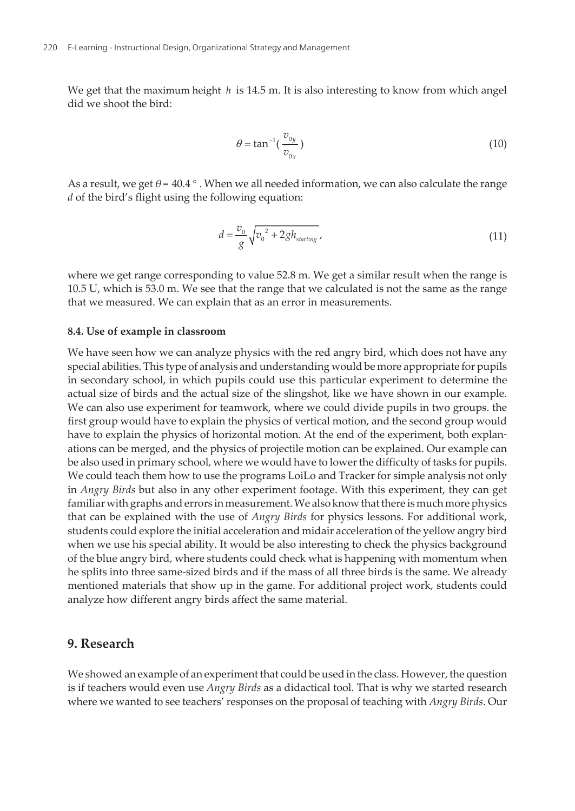We get that the maximum height *h* is 14.5 m. It is also interesting to know from which angel did we shoot the bird:

$$
\theta = \tan^{-1}\left(\frac{v_{0y}}{v_{0x}}\right) \tag{10}
$$

As a result, we get  $\theta$  = 40.4 °. When we all needed information, we can also calculate the range *d* of the bird's flight using the following equation:

$$
d = \frac{v_0}{g} \sqrt{{v_0}^2 + 2gh_{starting}} \,, \tag{11}
$$

where we get range corresponding to value 52.8 m. We get a similar result when the range is 10.5 U, which is 53.0 m. We see that the range that we calculated is not the same as the range that we measured. We can explain that as an error in measurements.

#### **8.4. Use of example in classroom**

We have seen how we can analyze physics with the red angry bird, which does not have any special abilities. This type of analysis and understanding would be more appropriate for pupils in secondary school, in which pupils could use this particular experiment to determine the actual size of birds and the actual size of the slingshot, like we have shown in our example. We can also use experiment for teamwork, where we could divide pupils in two groups. the first group would have to explain the physics of vertical motion, and the second group would have to explain the physics of horizontal motion. At the end of the experiment, both explanations can be merged, and the physics of projectile motion can be explained. Our example can be also used in primary school, where we would have to lower the difficulty of tasks for pupils. We could teach them how to use the programs LoiLo and Tracker for simple analysis not only in *Angry Birds* but also in any other experiment footage. With this experiment, they can get familiar with graphs and errors in measurement. We also know that there is much more physics that can be explained with the use of *Angry Birds* for physics lessons. For additional work, students could explore the initial acceleration and midair acceleration of the yellow angry bird when we use his special ability. It would be also interesting to check the physics background of the blue angry bird, where students could check what is happening with momentum when he splits into three same-sized birds and if the mass of all three birds is the same. We already mentioned materials that show up in the game. For additional project work, students could analyze how different angry birds affect the same material.

### **9. Research**

We showed an example of an experiment that could be used in the class. However, the question is if teachers would even use *Angry Birds* as a didactical tool. That is why we started research where we wanted to see teachers' responses on the proposal of teaching with *Angry Birds*. Our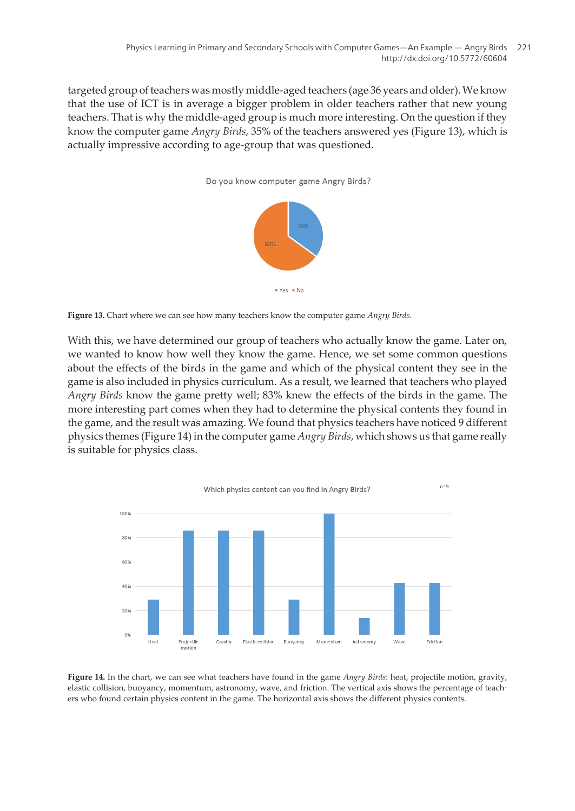targeted group of teachers was mostly middle-aged teachers (age 36 years and older). We know that the use of ICT is in average a bigger problem in older teachers rather that new young teachers. That is why the middle-aged group is much more interesting. On the question if they know the computer game *Angry Birds*, 35% of the teachers answered yes (Figure 13), which is actually impressive according to age-group that was questioned.



**Figure 13.** Chart where we can see how many teachers know the computer game *Angry Birds*.

With this, we have determined our group of teachers who actually know the game. Later on, we wanted to know how well they know the game. Hence, we set some common questions about the effects of the birds in the game and which of the physical content they see in the game is also included in physics curriculum. As a result, we learned that teachers who played *Angry Birds* know the game pretty well; 83% knew the effects of the birds in the game. The more interesting part comes when they had to determine the physical contents they found in the game, and the result was amazing. We found that physics teachers have noticed 9 different physics themes (Figure 14) in the computer game *Angry Birds*, which shows us that game really is suitable for physics class.



**Figure 14.** In the chart, we can see what teachers have found in the game *Angry Birds*: heat, projectile motion, gravity, elastic collision, buoyancy, momentum, astronomy, wave, and friction. The vertical axis shows the percentage of teachers who found certain physics content in the game. The horizontal axis shows the different physics contents.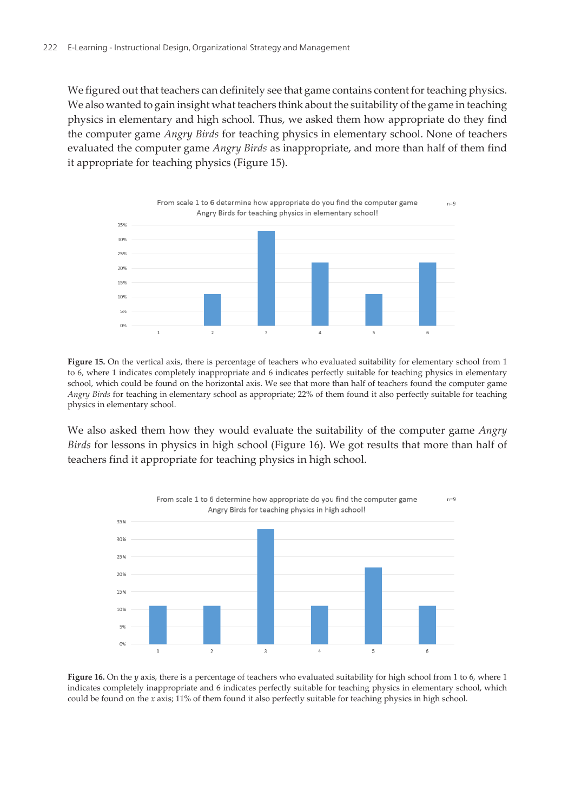We figured out that teachers can definitely see that game contains content for teaching physics. We also wanted to gain insight what teachers think about the suitability of the game in teaching physics in elementary and high school. Thus, we asked them how appropriate do they find the computer game *Angry Birds* for teaching physics in elementary school. None of teachers evaluated the computer game *Angry Birds* as inappropriate, and more than half of them find it appropriate for teaching physics (Figure 15).



**Figure 15.** On the vertical axis, there is percentage of teachers who evaluated suitability for elementary school from 1 to 6, where 1 indicates completely inappropriate and 6 indicates perfectly suitable for teaching physics in elementary school, which could be found on the horizontal axis. We see that more than half of teachers found the computer game *Angry Birds* for teaching in elementary school as appropriate; 22% of them found it also perfectly suitable for teaching physics in elementary school.

We also asked them how they would evaluate the suitability of the computer game *Angry Birds* for lessons in physics in high school (Figure 16). We got results that more than half of teachers find it appropriate for teaching physics in high school.



**Figure 16.** On the *y* axis, there is a percentage of teachers who evaluated suitability for high school from 1 to 6, where 1 indicates completely inappropriate and 6 indicates perfectly suitable for teaching physics in elementary school, which could be found on the *x* axis; 11% of them found it also perfectly suitable for teaching physics in high school.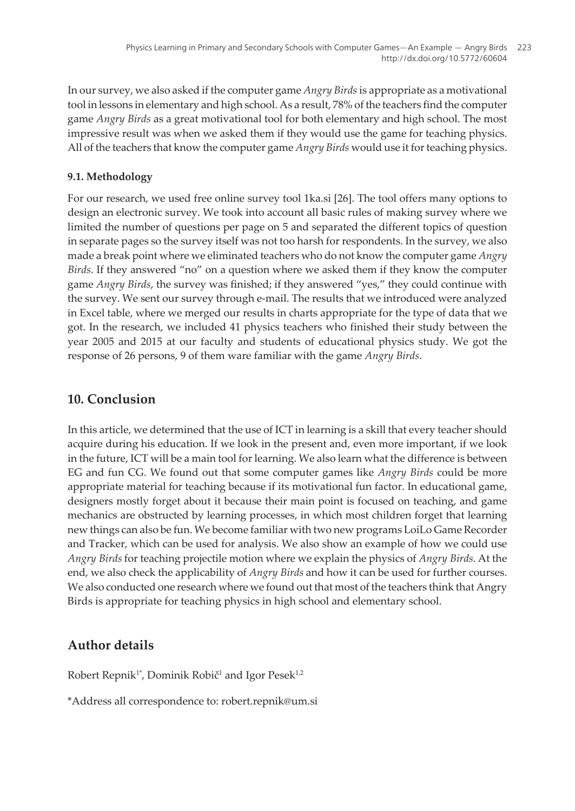<span id="page-20-0"></span>In our survey, we also asked if the computer game *Angry Birds* is appropriate as a motivational tool in lessons in elementary and high school. As a result, 78% of the teachers find the computer game *Angry Birds* as a great motivational tool for both elementary and high school. The most impressive result was when we asked them if they would use the game for teaching physics. All of the teachers that know the computer game *Angry Birds* would use it for teaching physics.

## **9.1. Methodology**

For our research, we used free online survey tool 1ka.si [\[26](#page-22-0)]. The tool offers many options to design an electronic survey. We took into account all basic rules of making survey where we limited the number of questions per page on 5 and separated the different topics of question in separate pages so the survey itself was not too harsh for respondents. In the survey, we also made a break point where we eliminated teachers who do not know the computer game *Angry Birds*. If they answered "no" on a question where we asked them if they know the computer game *Angry Birds*, the survey was finished; if they answered "yes," they could continue with the survey. We sent our survey through e-mail. The results that we introduced were analyzed in Excel table, where we merged our results in charts appropriate for the type of data that we got. In the research, we included 41 physics teachers who finished their study between the year 2005 and 2015 at our faculty and students of educational physics study. We got the response of 26 persons, 9 of them ware familiar with the game *Angry Birds*.

# **10. Conclusion**

In this article, we determined that the use of ICT in learning is a skill that every teacher should acquire during his education. If we look in the present and, even more important, if we look in the future, ICT will be a main tool for learning. We also learn what the difference is between EG and fun CG. We found out that some computer games like *Angry Birds* could be more appropriate material for teaching because if its motivational fun factor. In educational game, designers mostly forget about it because their main point is focused on teaching, and game mechanics are obstructed by learning processes, in which most children forget that learning new things can also be fun. We become familiar with two new programs LoiLo Game Recorder and Tracker, which can be used for analysis. We also show an example of how we could use *Angry Birds*for teaching projectile motion where we explain the physics of *Angry Birds*. At the end, we also check the applicability of *Angry Birds* and how it can be used for further courses. We also conducted one research where we found out that most of the teachers think that Angry Birds is appropriate for teaching physics in high school and elementary school.

# **Author details**

Robert Repnik<sup>1\*</sup>, Dominik Robič<sup>1</sup> and Igor Pesek<sup>1,2</sup>

\*Address all correspondence to: robert.repnik@um.si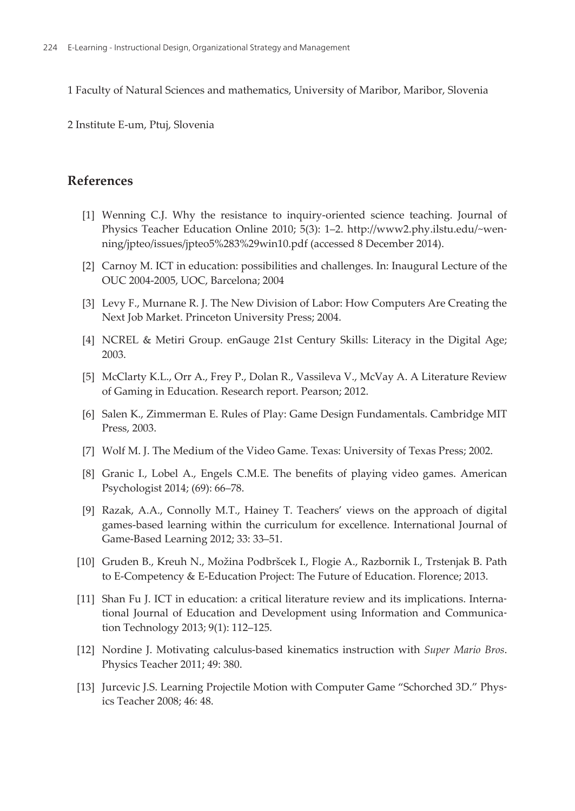<span id="page-21-0"></span>1 Faculty of Natural Sciences and mathematics, University of Maribor, Maribor, Slovenia

2 Institute E-um, Ptuj, Slovenia

## **References**

- [1] Wenning C.J. Why the resistance to inquiry-oriented science teaching. Journal of Physics Teacher Education Online 2010; 5(3): 1–2. http://www2.phy.ilstu.edu/~wen‐ ning/jpteo/issues/jpteo5%283%29win10.pdf (accessed 8 December 2014).
- [2] Carnoy M. ICT in education: possibilities and challenges. In: Inaugural Lecture of the OUC 2004-2005, UOC, Barcelona; 2004
- [3] Levy F., Murnane R. J. The New Division of Labor: How Computers Are Creating the Next Job Market. Princeton University Press; 2004.
- [4] NCREL & Metiri Group. enGauge 21st Century Skills: Literacy in the Digital Age; 2003.
- [5] McClarty K.L., Orr A., Frey P., Dolan R., Vassileva V., McVay A. A Literature Review of Gaming in Education. Research report. Pearson; 2012.
- [6] Salen K., Zimmerman E. Rules of Play: Game Design Fundamentals. Cambridge MIT Press, 2003.
- [7] Wolf M. J. The Medium of the Video Game. Texas: University of Texas Press; 2002.
- [8] Granic I., Lobel A., Engels C.M.E. The benefits of playing video games. American Psychologist 2014; (69): 66–78.
- [9] Razak, A.A., Connolly M.T., Hainey T. Teachers' views on the approach of digital games-based learning within the curriculum for excellence. International Journal of Game-Based Learning 2012; 33: 33–51.
- [10] Gruden B., Kreuh N., Možina Podbršcek I., Flogie A., Razbornik I., Trstenjak B. Path to E-Competency & E-Education Project: The Future of Education. Florence; 2013.
- [11] Shan Fu J. ICT in education: a critical literature review and its implications. International Journal of Education and Development using Information and Communica‐ tion Technology 2013; 9(1): 112–125.
- [12] Nordine J. Motivating calculus-based kinematics instruction with *Super Mario Bros*. Physics Teacher 2011; 49: 380.
- [13] Jurcevic J.S. Learning Projectile Motion with Computer Game "Schorched 3D." Physics Teacher 2008; 46: 48.